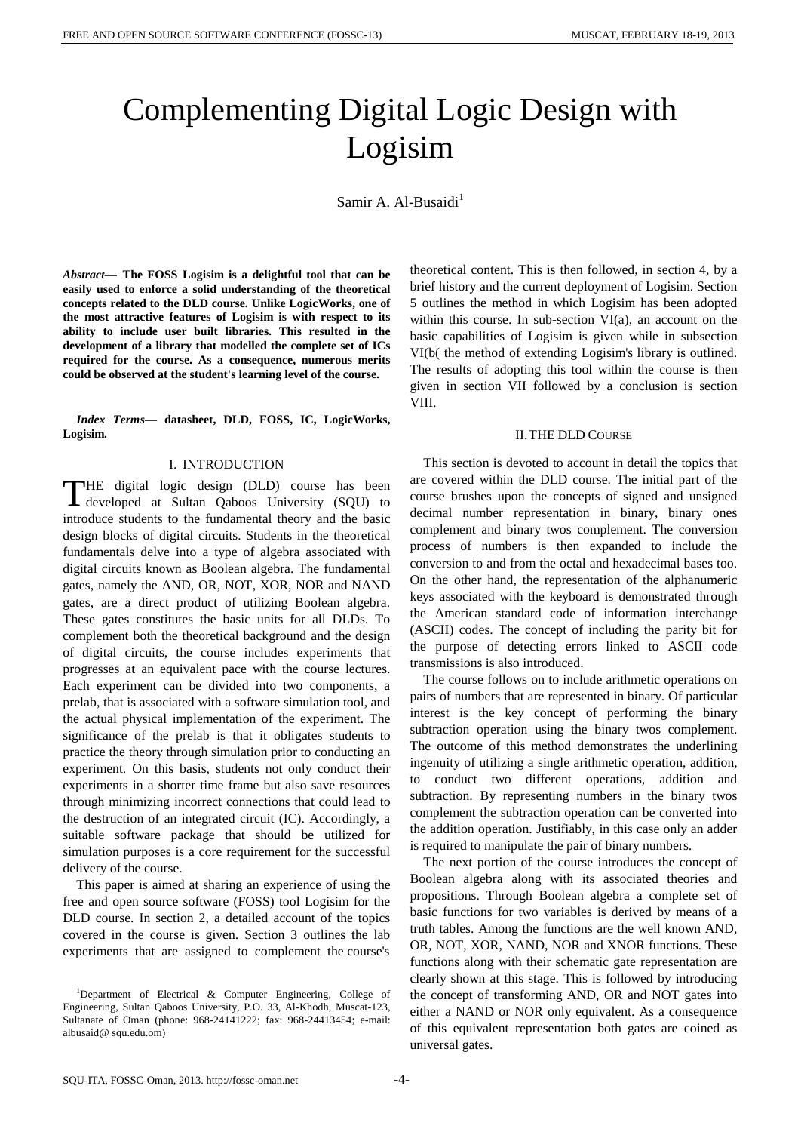# Complementing Digital Logic Design with Logisim

Samir A. Al-Busaidi $<sup>1</sup>$ </sup>

*Abstract***— The FOSS Logisim is a delightful tool that can be easily used to enforce a solid understanding of the theoretical concepts related to the DLD course. Unlike LogicWorks, one of the most attractive features of Logisim is with respect to its ability to include user built libraries. This resulted in the development of a library that modelled the complete set of ICs required for the course. As a consequence, numerous merits could be observed at the student's learning level of the course.**

*Index Terms***— datasheet, DLD, FOSS, IC, LogicWorks, Logisim.**

# I. INTRODUCTION

HE digital logic design (DLD) course has been THE digital logic design (DLD) course has been<br>developed at Sultan Qaboos University (SQU) to introduce students to the fundamental theory and the basic design blocks of digital circuits. Students in the theoretical fundamentals delve into a type of algebra associated with digital circuits known as Boolean algebra. The fundamental gates, namely the AND, OR, NOT, XOR, NOR and NAND gates, are a direct product of utilizing Boolean algebra. These gates constitutes the basic units for all DLDs. To complement both the theoretical background and the design of digital circuits, the course includes experiments that progresses at an equivalent pace with the course lectures. Each experiment can be divided into two components, a prelab, that is associated with a software simulation tool, and the actual physical implementation of the experiment. The significance of the prelab is that it obligates students to practice the theory through simulation prior to conducting an experiment. On this basis, students not only conduct their experiments in a shorter time frame but also save resources through minimizing incorrect connections that could lead to the destruction of an integrated circuit (IC). Accordingly, a suitable software package that should be utilized for simulation purposes is a core requirement for the successful delivery of the course.

This paper is aimed at sharing an experience of using the free and open source software (FOSS) tool Logisim for the DLD course. In section 2, a detailed account of the topics covered in the course is given. Section 3 outlines the lab experiments that are assigned to complement the course's theoretical content. This is then followed, in section 4, by a brief history and the current deployment of Logisim. Section 5 outlines the method in which Logisim has been adopted within this course. In sub-section VI(a), an account on the basic capabilities of Logisim is given while in subsection VI(b( the method of extending Logisim's library is outlined. The results of adopting this tool within the course is then given in section VII followed by a conclusion is section VIII.

#### II.THE DLD COURSE

This section is devoted to account in detail the topics that are covered within the DLD course. The initial part of the course brushes upon the concepts of signed and unsigned decimal number representation in binary, binary ones complement and binary twos complement. The conversion process of numbers is then expanded to include the conversion to and from the octal and hexadecimal bases too. On the other hand, the representation of the alphanumeric keys associated with the keyboard is demonstrated through the American standard code of information interchange (ASCII) codes. The concept of including the parity bit for the purpose of detecting errors linked to ASCII code transmissions is also introduced.

The course follows on to include arithmetic operations on pairs of numbers that are represented in binary. Of particular interest is the key concept of performing the binary subtraction operation using the binary twos complement. The outcome of this method demonstrates the underlining ingenuity of utilizing a single arithmetic operation, addition, to conduct two different operations, addition and subtraction. By representing numbers in the binary twos complement the subtraction operation can be converted into the addition operation. Justifiably, in this case only an adder is required to manipulate the pair of binary numbers.

The next portion of the course introduces the concept of Boolean algebra along with its associated theories and propositions. Through Boolean algebra a complete set of basic functions for two variables is derived by means of a truth tables. Among the functions are the well known AND, OR, NOT, XOR, NAND, NOR and XNOR functions. These functions along with their schematic gate representation are clearly shown at this stage. This is followed by introducing the concept of transforming AND, OR and NOT gates into either a NAND or NOR only equivalent. As a consequence of this equivalent representation both gates are coined as universal gates.

<sup>&</sup>lt;sup>1</sup>Department of Electrical & Computer Engineering, College of Engineering, Sultan Qaboos University, P.O. 33, Al-Khodh, Muscat-123, Sultanate of Oman (phone: 968-24141222; fax: 968-24413454; e-mail: albusaid@ squ.edu.om)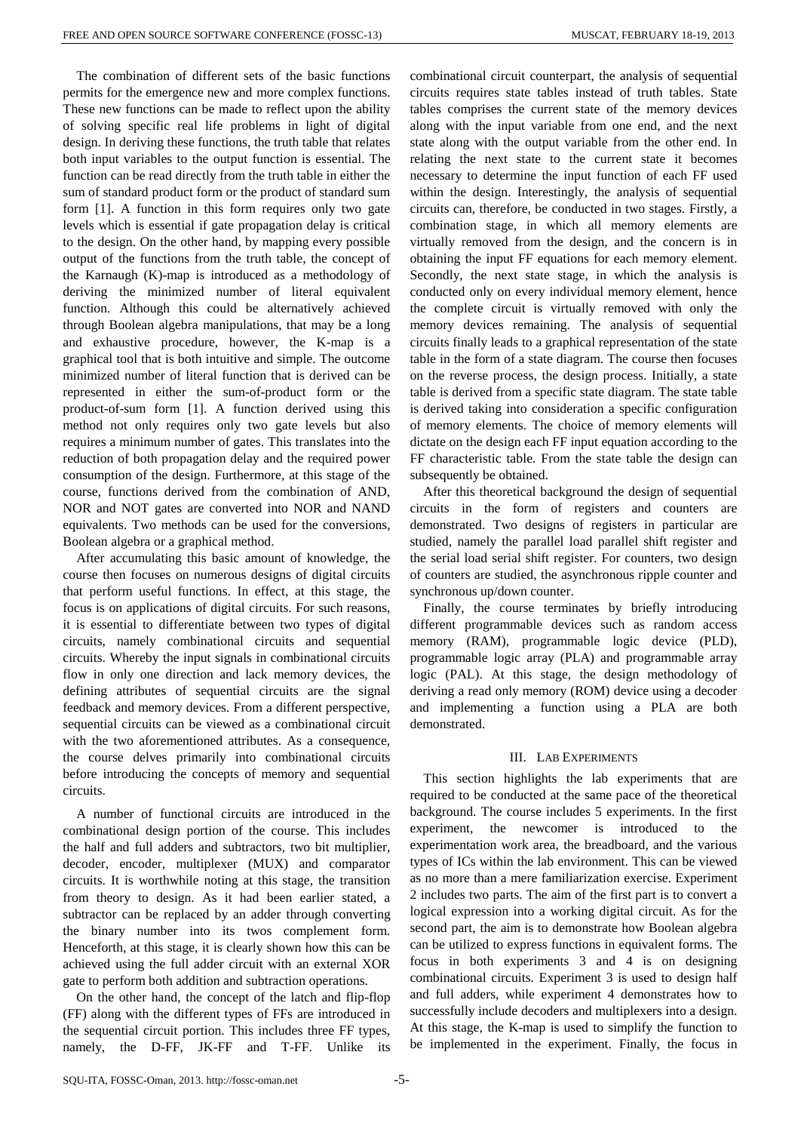The combination of different sets of the basic functions permits for the emergence new and more complex functions. These new functions can be made to reflect upon the ability of solving specific real life problems in light of digital design. In deriving these functions, the truth table that relates both input variables to the output function is essential. The function can be read directly from the truth table in either the sum of standard product form or the product of standard sum form [1]. A function in this form requires only two gate levels which is essential if gate propagation delay is critical to the design. On the other hand, by mapping every possible output of the functions from the truth table, the concept of the Karnaugh (K)-map is introduced as a methodology of deriving the minimized number of literal equivalent function. Although this could be alternatively achieved through Boolean algebra manipulations, that may be a long and exhaustive procedure, however, the K-map is a graphical tool that is both intuitive and simple. The outcome minimized number of literal function that is derived can be represented in either the sum-of-product form or the product-of-sum form [1]. A function derived using this method not only requires only two gate levels but also requires a minimum number of gates. This translates into the reduction of both propagation delay and the required power consumption of the design. Furthermore, at this stage of the course, functions derived from the combination of AND, NOR and NOT gates are converted into NOR and NAND equivalents. Two methods can be used for the conversions, Boolean algebra or a graphical method.

After accumulating this basic amount of knowledge, the course then focuses on numerous designs of digital circuits that perform useful functions. In effect, at this stage, the focus is on applications of digital circuits. For such reasons, it is essential to differentiate between two types of digital circuits, namely combinational circuits and sequential circuits. Whereby the input signals in combinational circuits flow in only one direction and lack memory devices, the defining attributes of sequential circuits are the signal feedback and memory devices. From a different perspective, sequential circuits can be viewed as a combinational circuit with the two aforementioned attributes. As a consequence, the course delves primarily into combinational circuits before introducing the concepts of memory and sequential circuits.

A number of functional circuits are introduced in the combinational design portion of the course. This includes the half and full adders and subtractors, two bit multiplier, decoder, encoder, multiplexer (MUX) and comparator circuits. It is worthwhile noting at this stage, the transition from theory to design. As it had been earlier stated, a subtractor can be replaced by an adder through converting the binary number into its twos complement form. Henceforth, at this stage, it is clearly shown how this can be achieved using the full adder circuit with an external XOR gate to perform both addition and subtraction operations.

On the other hand, the concept of the latch and flip-flop (FF) along with the different types of FFs are introduced in the sequential circuit portion. This includes three FF types, namely, the D-FF, JK-FF and T-FF. Unlike its combinational circuit counterpart, the analysis of sequential circuits requires state tables instead of truth tables. State tables comprises the current state of the memory devices along with the input variable from one end, and the next state along with the output variable from the other end. In relating the next state to the current state it becomes necessary to determine the input function of each FF used within the design. Interestingly, the analysis of sequential circuits can, therefore, be conducted in two stages. Firstly, a combination stage, in which all memory elements are virtually removed from the design, and the concern is in obtaining the input FF equations for each memory element. Secondly, the next state stage, in which the analysis is conducted only on every individual memory element, hence the complete circuit is virtually removed with only the memory devices remaining. The analysis of sequential circuits finally leads to a graphical representation of the state table in the form of a state diagram. The course then focuses on the reverse process, the design process. Initially, a state table is derived from a specific state diagram. The state table is derived taking into consideration a specific configuration of memory elements. The choice of memory elements will dictate on the design each FF input equation according to the FF characteristic table. From the state table the design can subsequently be obtained.

After this theoretical background the design of sequential circuits in the form of registers and counters are demonstrated. Two designs of registers in particular are studied, namely the parallel load parallel shift register and the serial load serial shift register. For counters, two design of counters are studied, the asynchronous ripple counter and synchronous up/down counter.

Finally, the course terminates by briefly introducing different programmable devices such as random access memory (RAM), programmable logic device (PLD), programmable logic array (PLA) and programmable array logic (PAL). At this stage, the design methodology of deriving a read only memory (ROM) device using a decoder and implementing a function using a PLA are both demonstrated.

# III. LAB EXPERIMENTS

This section highlights the lab experiments that are required to be conducted at the same pace of the theoretical background. The course includes 5 experiments. In the first experiment, the newcomer is introduced to the experimentation work area, the breadboard, and the various types of ICs within the lab environment. This can be viewed as no more than a mere familiarization exercise. Experiment 2 includes two parts. The aim of the first part is to convert a logical expression into a working digital circuit. As for the second part, the aim is to demonstrate how Boolean algebra can be utilized to express functions in equivalent forms. The focus in both experiments 3 and 4 is on designing combinational circuits. Experiment 3 is used to design half and full adders, while experiment 4 demonstrates how to successfully include decoders and multiplexers into a design. At this stage, the K-map is used to simplify the function to be implemented in the experiment. Finally, the focus in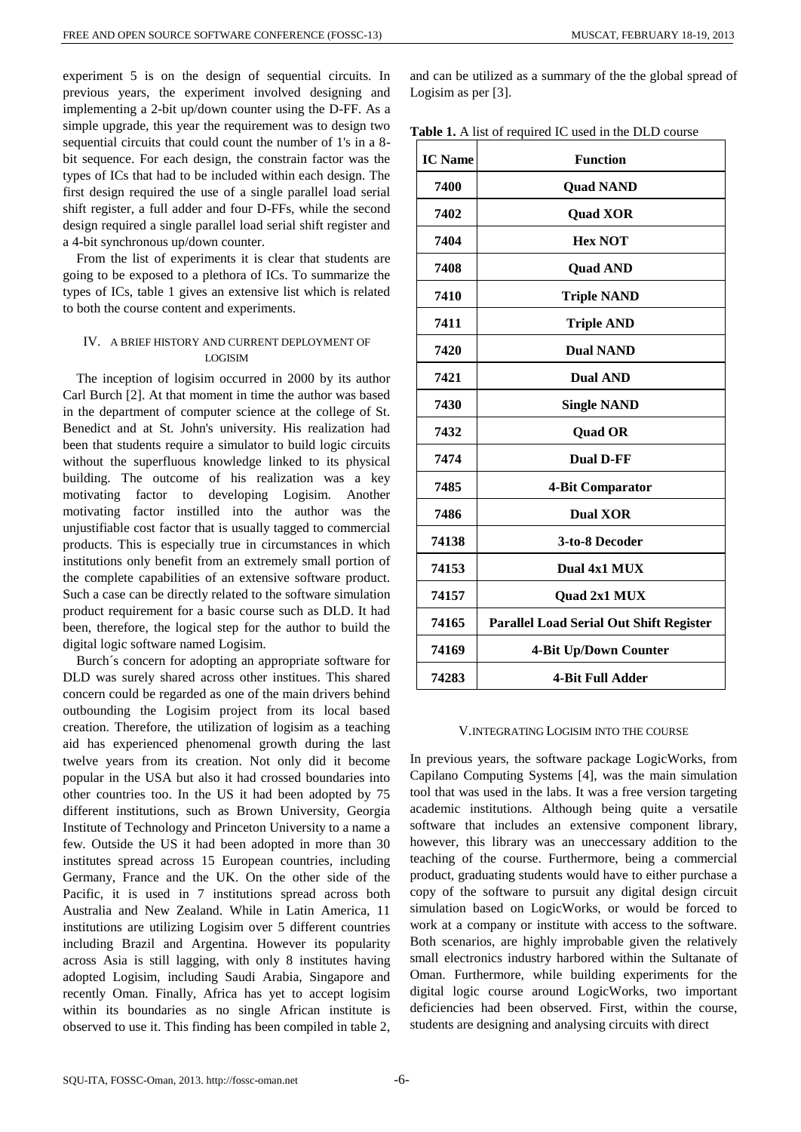experiment 5 is on the design of sequential circuits. In previous years, the experiment involved designing and implementing a 2-bit up/down counter using the D-FF. As a simple upgrade, this year the requirement was to design two sequential circuits that could count the number of 1's in a 8 bit sequence. For each design, the constrain factor was the types of ICs that had to be included within each design. The first design required the use of a single parallel load serial shift register, a full adder and four D-FFs, while the second design required a single parallel load serial shift register and a 4-bit synchronous up/down counter.

From the list of experiments it is clear that students are going to be exposed to a plethora of ICs. To summarize the types of ICs, table 1 gives an extensive list which is related to both the course content and experiments.

# IV. A BRIEF HISTORY AND CURRENT DEPLOYMENT OF LOGISIM

The inception of logisim occurred in 2000 by its author Carl Burch [2]. At that moment in time the author was based in the department of computer science at the college of St. Benedict and at St. John's university. His realization had been that students require a simulator to build logic circuits without the superfluous knowledge linked to its physical building. The outcome of his realization was a key motivating factor to developing Logisim. Another motivating factor instilled into the author was the unjustifiable cost factor that is usually tagged to commercial products. This is especially true in circumstances in which institutions only benefit from an extremely small portion of the complete capabilities of an extensive software product. Such a case can be directly related to the software simulation product requirement for a basic course such as DLD. It had been, therefore, the logical step for the author to build the digital logic software named Logisim.

Burch´s concern for adopting an appropriate software for DLD was surely shared across other institues. This shared concern could be regarded as one of the main drivers behind outbounding the Logisim project from its local based creation. Therefore, the utilization of logisim as a teaching aid has experienced phenomenal growth during the last twelve years from its creation. Not only did it become popular in the USA but also it had crossed boundaries into other countries too. In the US it had been adopted by 75 different institutions, such as Brown University, Georgia Institute of Technology and Princeton University to a name a few. Outside the US it had been adopted in more than 30 institutes spread across 15 European countries, including Germany, France and the UK. On the other side of the Pacific, it is used in 7 institutions spread across both Australia and New Zealand. While in Latin America, 11 institutions are utilizing Logisim over 5 different countries including Brazil and Argentina. However its popularity across Asia is still lagging, with only 8 institutes having adopted Logisim, including Saudi Arabia, Singapore and recently Oman. Finally, Africa has yet to accept logisim within its boundaries as no single African institute is observed to use it. This finding has been compiled in table 2, and can be utilized as a summary of the the global spread of Logisim as per [3].

|  | <b>Table 1.</b> A list of required IC used in the DLD course |  |
|--|--------------------------------------------------------------|--|
|  |                                                              |  |

| <b>IC</b> Name | <b>Function</b>                                |
|----------------|------------------------------------------------|
| 7400           | <b>Quad NAND</b>                               |
| 7402           | <b>Quad XOR</b>                                |
| 7404           | <b>Hex NOT</b>                                 |
| 7408           | <b>Quad AND</b>                                |
| 7410           | <b>Triple NAND</b>                             |
| 7411           | <b>Triple AND</b>                              |
| 7420           | <b>Dual NAND</b>                               |
| 7421           | <b>Dual AND</b>                                |
| 7430           | <b>Single NAND</b>                             |
| 7432           | <b>Quad OR</b>                                 |
| 7474           | <b>Dual D-FF</b>                               |
| 7485           | 4-Bit Comparator                               |
| 7486           | <b>Dual XOR</b>                                |
| 74138          | 3-to-8 Decoder                                 |
| 74153          | Dual 4x1 MUX                                   |
| 74157          | Quad 2x1 MUX                                   |
| 74165          | <b>Parallel Load Serial Out Shift Register</b> |
| 74169          | 4-Bit Up/Down Counter                          |
| 74283          | 4-Bit Full Adder                               |

# V.INTEGRATING LOGISIM INTO THE COURSE

In previous years, the software package LogicWorks, from Capilano Computing Systems [4], was the main simulation tool that was used in the labs. It was a free version targeting academic institutions. Although being quite a versatile software that includes an extensive component library, however, this library was an uneccessary addition to the teaching of the course. Furthermore, being a commercial product, graduating students would have to either purchase a copy of the software to pursuit any digital design circuit simulation based on LogicWorks, or would be forced to work at a company or institute with access to the software. Both scenarios, are highly improbable given the relatively small electronics industry harbored within the Sultanate of Oman. Furthermore, while building experiments for the digital logic course around LogicWorks, two important deficiencies had been observed. First, within the course, students are designing and analysing circuits with direct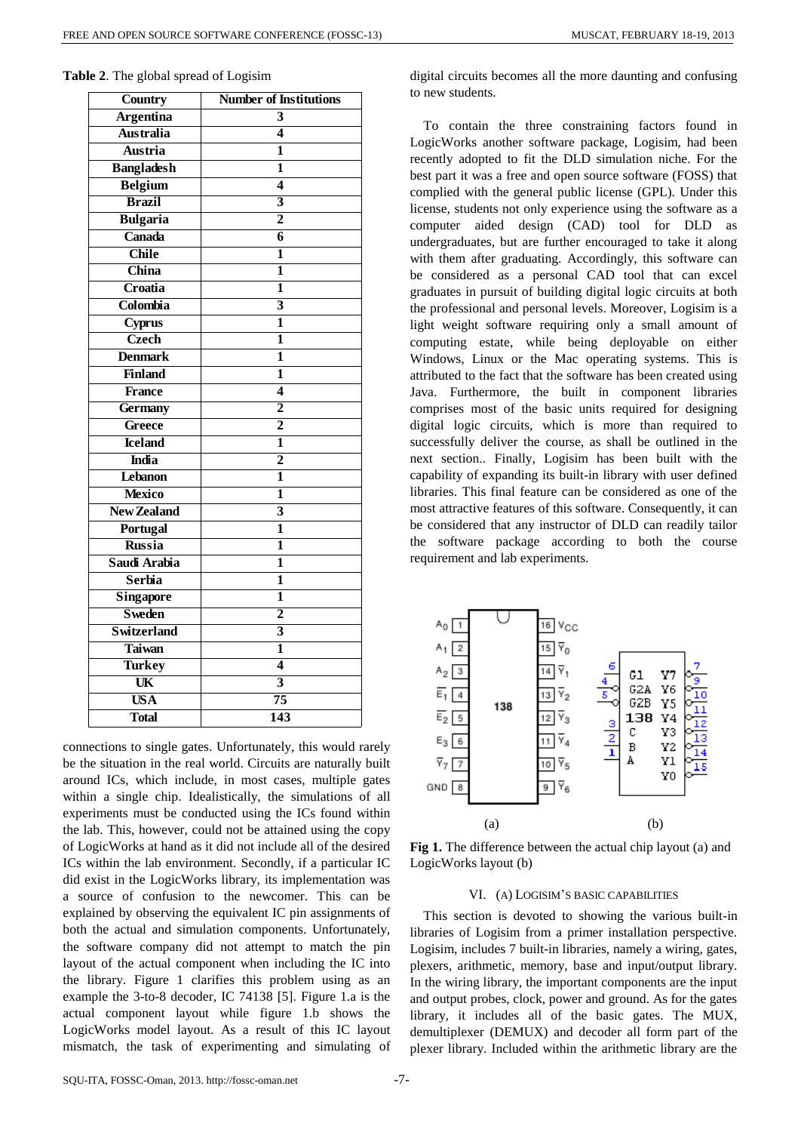| Country            | <b>Number of Institutions</b> |
|--------------------|-------------------------------|
| <b>Argentina</b>   | 3                             |
| <b>Australia</b>   | 4                             |
| <b>Austria</b>     | 1                             |
| <b>Bangladesh</b>  | $\mathbf{1}$                  |
| <b>Belgium</b>     | 4                             |
| <b>Brazil</b>      | $\overline{\mathbf{3}}$       |
| <b>Bulgaria</b>    | $\overline{2}$                |
| Canada             | 6                             |
| <b>Chile</b>       | 1                             |
| China              | 1                             |
| Croatia            | 1                             |
| Colombia           | 3                             |
| Cyprus             | 1                             |
| <b>Czech</b>       | 1                             |
| <b>Denmark</b>     | 1                             |
| <b>Finland</b>     | 1                             |
| <b>France</b>      | 4                             |
| <b>Germany</b>     | $\overline{2}$                |
| Greece             | $\overline{2}$                |
| <b>Iceland</b>     | 1                             |
| <b>India</b>       | $\overline{2}$                |
| Lebanon            | 1                             |
| <b>Mexico</b>      | 1                             |
| <b>New Zealand</b> | $\overline{\mathbf{3}}$       |
| Portugal           | 1                             |
| <b>Russia</b>      | 1                             |
| Saudi Arabia       | 1                             |
| <b>Serbia</b>      | 1                             |
| <b>Singapore</b>   | 1                             |
| <b>Sweden</b>      | $\overline{2}$                |
| <b>Switzerland</b> | $\overline{\mathbf{3}}$       |
| <b>Taiwan</b>      | 1                             |
| <b>Turkey</b>      | $\overline{\mathbf{4}}$       |
| UK                 | $\overline{\mathbf{3}}$       |
| <b>USA</b>         | $\overline{75}$               |
| <b>Total</b>       | $\overline{143}$              |

| Table 2. The global spread of Logisim |  |  |  |  |  |
|---------------------------------------|--|--|--|--|--|
|---------------------------------------|--|--|--|--|--|

connections to single gates. Unfortunately, this would rarely be the situation in the real world. Circuits are naturally built around ICs, which include, in most cases, multiple gates within a single chip. Idealistically, the simulations of all experiments must be conducted using the ICs found within the lab. This, however, could not be attained using the copy of LogicWorks at hand as it did not include all of the desired ICs within the lab environment. Secondly, if a particular IC did exist in the LogicWorks library, its implementation was a source of confusion to the newcomer. This can be explained by observing the equivalent IC pin assignments of both the actual and simulation components. Unfortunately, the software company did not attempt to match the pin layout of the actual component when including the IC into the library. Figure 1 clarifies this problem using as an example the 3-to-8 decoder, IC 74138 [5]. Figure 1.a is the actual component layout while figure 1.b shows the LogicWorks model layout. As a result of this IC layout mismatch, the task of experimenting and simulating of digital circuits becomes all the more daunting and confusing to new students.

To contain the three constraining factors found in LogicWorks another software package, Logisim, had been recently adopted to fit the DLD simulation niche. For the best part it was a free and open source software (FOSS) that complied with the general public license (GPL). Under this license, students not only experience using the software as a computer aided design (CAD) tool for DLD as undergraduates, but are further encouraged to take it along with them after graduating. Accordingly, this software can be considered as a personal CAD tool that can excel graduates in pursuit of building digital logic circuits at both the professional and personal levels. Moreover, Logisim is a light weight software requiring only a small amount of computing estate, while being deployable on either Windows, Linux or the Mac operating systems. This is attributed to the fact that the software has been created using Java. Furthermore, the built in component libraries comprises most of the basic units required for designing digital logic circuits, which is more than required to successfully deliver the course, as shall be outlined in the next section.. Finally, Logisim has been built with the capability of expanding its built-in library with user defined libraries. This final feature can be considered as one of the most attractive features of this software. Consequently, it can be considered that any instructor of DLD can readily tailor the software package according to both the course requirement and lab experiments.



**Fig 1.** The difference between the actual chip layout (a) and LogicWorks layout (b)

# VI. (A) LOGISIM'S BASIC CAPABILITIES

This section is devoted to showing the various built-in libraries of Logisim from a primer installation perspective. Logisim, includes 7 built-in libraries, namely a wiring, gates, plexers, arithmetic, memory, base and input/output library. In the wiring library, the important components are the input and output probes, clock, power and ground. As for the gates library, it includes all of the basic gates. The MUX, demultiplexer (DEMUX) and decoder all form part of the plexer library. Included within the arithmetic library are the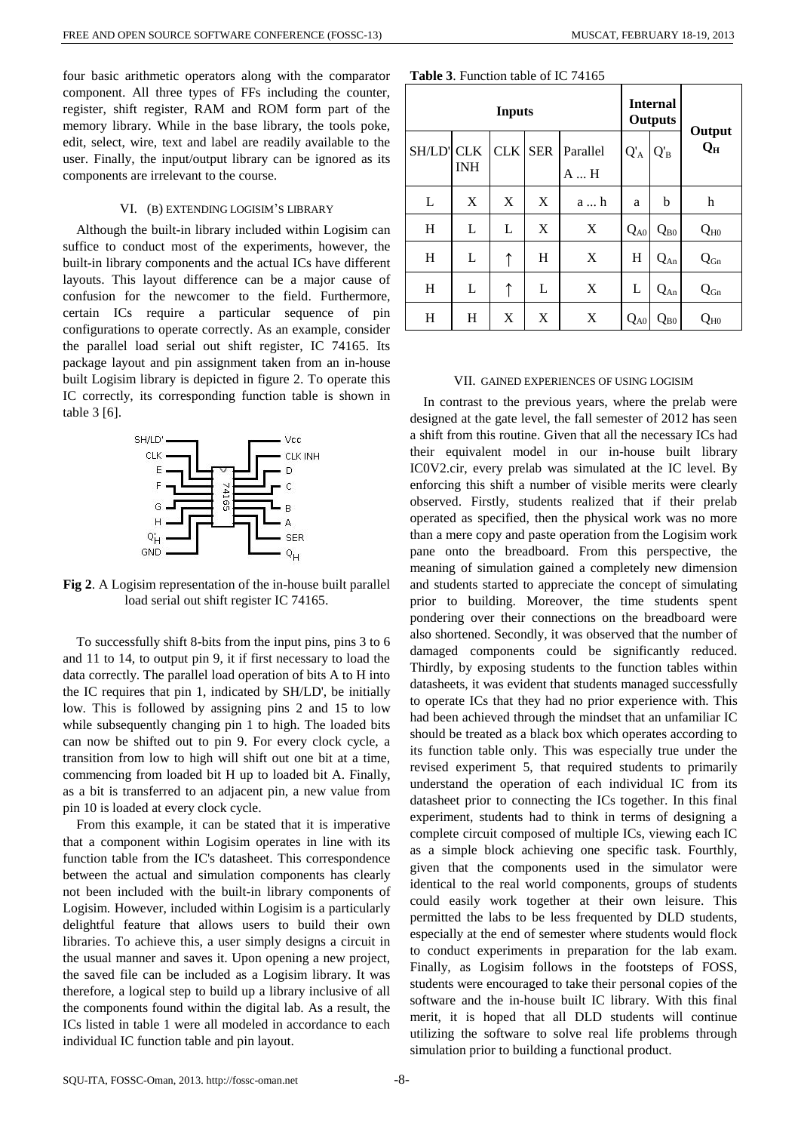four basic arithmetic operators along with the comparator component. All three types of FFs including the counter, register, shift register, RAM and ROM form part of the memory library. While in the base library, the tools poke, edit, select, wire, text and label are readily available to the user. Finally, the input/output library can be ignored as its components are irrelevant to the course.

### VI. (B) EXTENDING LOGISIM'S LIBRARY

Although the built-in library included within Logisim can suffice to conduct most of the experiments, however, the built-in library components and the actual ICs have different layouts. This layout difference can be a major cause of confusion for the newcomer to the field. Furthermore, certain ICs require a particular sequence of pin configurations to operate correctly. As an example, consider the parallel load serial out shift register, IC 74165. Its package layout and pin assignment taken from an in-house built Logisim library is depicted in figure 2. To operate this IC correctly, its corresponding function table is shown in table 3 [6].



**Fig 2**. A Logisim representation of the in-house built parallel load serial out shift register IC 74165.

To successfully shift 8-bits from the input pins, pins 3 to 6 and 11 to 14, to output pin 9, it if first necessary to load the data correctly. The parallel load operation of bits A to H into the IC requires that pin 1, indicated by SH/LD', be initially low. This is followed by assigning pins 2 and 15 to low while subsequently changing pin 1 to high. The loaded bits can now be shifted out to pin 9. For every clock cycle, a transition from low to high will shift out one bit at a time, commencing from loaded bit H up to loaded bit A. Finally, as a bit is transferred to an adjacent pin, a new value from pin 10 is loaded at every clock cycle.

From this example, it can be stated that it is imperative that a component within Logisim operates in line with its function table from the IC's datasheet. This correspondence between the actual and simulation components has clearly not been included with the built-in library components of Logisim. However, included within Logisim is a particularly delightful feature that allows users to build their own libraries. To achieve this, a user simply designs a circuit in the usual manner and saves it. Upon opening a new project, the saved file can be included as a Logisim library. It was therefore, a logical step to build up a library inclusive of all the components found within the digital lab. As a result, the ICs listed in table 1 were all modeled in accordance to each individual IC function table and pin layout.

|  |  | <b>Table 3.</b> Function table of IC 74165 |  |  |  |
|--|--|--------------------------------------------|--|--|--|
|--|--|--------------------------------------------|--|--|--|

| <b>Inputs</b>     |            |     |     | <b>Internal</b><br><b>Outputs</b> |          |          |                 |
|-------------------|------------|-----|-----|-----------------------------------|----------|----------|-----------------|
| <b>SH/LD' CLK</b> | <b>INH</b> | CLK | SER | Parallel<br>A  H                  | $Q'_{A}$ | $Q'_B$   | Output<br>$Q_H$ |
| L                 | X          | X   | X   | a  h                              | a        | b        | h               |
| H                 | L          | L   | X   | X                                 | $Q_{A0}$ | $Q_{B0}$ | $Q_{HO}$        |
| H                 | L          | ↑   | H   | X                                 | H        | $Q_{An}$ | $Q_{Gn}$        |
| H                 | L          | ↑   | L   | X                                 | L        | $Q_{An}$ | $Q_{Gn}$        |
| H                 | H          | X   | X   | X                                 | $Q_{A0}$ | $Q_{B0}$ | $Q_{H0}$        |

#### VII. GAINED EXPERIENCES OF USING LOGISIM

In contrast to the previous years, where the prelab were designed at the gate level, the fall semester of 2012 has seen a shift from this routine. Given that all the necessary ICs had their equivalent model in our in-house built library IC0V2.cir, every prelab was simulated at the IC level. By enforcing this shift a number of visible merits were clearly observed. Firstly, students realized that if their prelab operated as specified, then the physical work was no more than a mere copy and paste operation from the Logisim work pane onto the breadboard. From this perspective, the meaning of simulation gained a completely new dimension and students started to appreciate the concept of simulating prior to building. Moreover, the time students spent pondering over their connections on the breadboard were also shortened. Secondly, it was observed that the number of damaged components could be significantly reduced. Thirdly, by exposing students to the function tables within datasheets, it was evident that students managed successfully to operate ICs that they had no prior experience with. This had been achieved through the mindset that an unfamiliar IC should be treated as a black box which operates according to its function table only. This was especially true under the revised experiment 5, that required students to primarily understand the operation of each individual IC from its datasheet prior to connecting the ICs together. In this final experiment, students had to think in terms of designing a complete circuit composed of multiple ICs, viewing each IC as a simple block achieving one specific task. Fourthly, given that the components used in the simulator were identical to the real world components, groups of students could easily work together at their own leisure. This permitted the labs to be less frequented by DLD students, especially at the end of semester where students would flock to conduct experiments in preparation for the lab exam. Finally, as Logisim follows in the footsteps of FOSS, students were encouraged to take their personal copies of the software and the in-house built IC library. With this final merit, it is hoped that all DLD students will continue utilizing the software to solve real life problems through simulation prior to building a functional product.